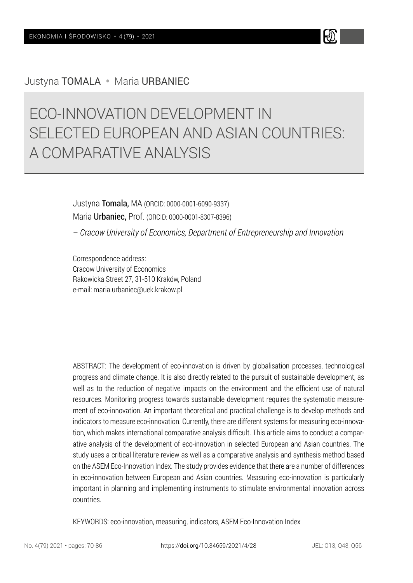# Justyna TOMALA • Maria URBANIEC

# ECO-INNOVATION DEVELOPMENT IN SELECTED EUROPEAN AND ASIAN COUNTRIES: A COMPARATIVE ANALYSIS

Justyna Tomala, MA (ORCID: 0000-0001-6090-9337) Maria Urbaniec, Prof. (ORCID: 0000-0001-8307-8396)

– *Cracow University of Economics, Department of Entrepreneurship and Innovation*

Correspondence address: Cracow University of Economics Rakowicka Street 27, 31-510 Kraków, Poland e-mail: maria.urbaniec@uek.krakow.pl

ABSTRACT: The development of eco-innovation is driven by globalisation processes, technological progress and climate change. It is also directly related to the pursuit of sustainable development, as well as to the reduction of negative impacts on the environment and the efficient use of natural resources. Monitoring progress towards sustainable development requires the systematic measurement of eco-innovation. An important theoretical and practical challenge is to develop methods and indicators to measure eco-innovation. Currently, there are different systems for measuring eco-innovation, which makes international comparative analysis difficult. This article aims to conduct a comparative analysis of the development of eco-innovation in selected European and Asian countries. The study uses a critical literature review as well as a comparative analysis and synthesis method based on the ASEM Eco-Innovation Index. The study provides evidence that there are a number of differences in eco-innovation between European and Asian countries. Measuring eco-innovation is particularly important in planning and implementing instruments to stimulate environmental innovation across countries.

KEYWORDS: eco-innovation, measuring, indicators, ASEM Eco-Innovation Index

H)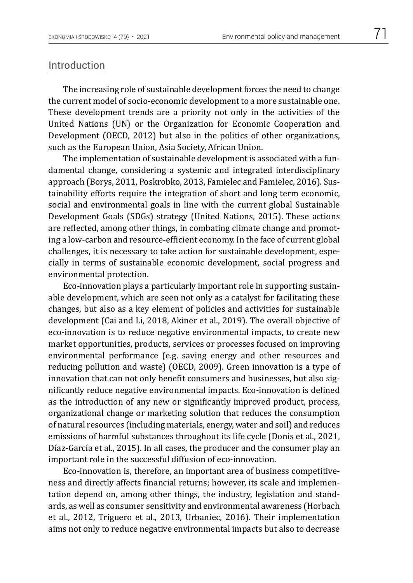### Introduction

The increasing role of sustainable development forces the need to change the current model of socio-economic development to a more sustainable one. These development trends are a priority not only in the activities of the United Nations (UN) or the Organization for Economic Cooperation and Development (OECD, 2012) but also in the politics of other organizations, such as the European Union, Asia Society, African Union.

The implementation of sustainable development is associated with a fundamental change, considering a systemic and integrated interdisciplinary approach (Borys, 2011, Poskrobko, 2013, Famielec and Famielec, 2016). Sustainability efforts require the integration of short and long term economic, social and environmental goals in line with the current global Sustainable Development Goals (SDGs) strategy (United Nations, 2015). These actions are reflected, among other things, in combating climate change and promoting a low-carbon and resource-efficient economy. In the face of current global challenges, it is necessary to take action for sustainable development, especially in terms of sustainable economic development, social progress and environmental protection.

Eco-innovation plays a particularly important role in supporting sustainable development, which are seen not only as a catalyst for facilitating these changes, but also as a key element of policies and activities for sustainable development (Cai and Li, 2018, Akiner et al., 2019). The overall objective of eco-innovation is to reduce negative environmental impacts, to create new market opportunities, products, services or processes focused on improving environmental performance (e.g. saving energy and other resources and reducing pollution and waste) (OECD, 2009). Green innovation is a type of innovation that can not only benefit consumers and businesses, but also significantly reduce negative environmental impacts. Eco-innovation is defined as the introduction of any new or significantly improved product, process, organizational change or marketing solution that reduces the consumption of natural resources (including materials, energy, water and soil) and reduces emissions of harmful substances throughout its life cycle (Donis et al., 2021, Díaz-García et al., 2015). In all cases, the producer and the consumer play an important role in the successful diffusion of eco-innovation.

Eco-innovation is, therefore, an important area of business competitiveness and directly affects financial returns; however, its scale and implementation depend on, among other things, the industry, legislation and standards, as well as consumer sensitivity and environmental awareness (Horbach et al., 2012, Triguero et al., 2013, Urbaniec, 2016). Their implementation aims not only to reduce negative environmental impacts but also to decrease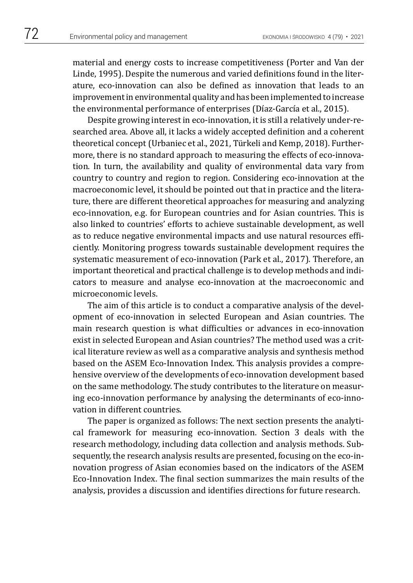material and energy costs to increase competitiveness (Porter and Van der Linde, 1995). Despite the numerous and varied definitions found in the literature, eco-innovation can also be defined as innovation that leads to an improvement in environmental quality and has been implemented to increase the environmental performance of enterprises (Díaz-García et al., 2015).

Despite growing interest in eco-innovation, it is still a relatively under-researched area. Above all, it lacks a widely accepted definition and a coherent theoretical concept (Urbaniec et al., 2021, Türkeli and Kemp, 2018). Furthermore, there is no standard approach to measuring the effects of eco-innovation. In turn, the availability and quality of environmental data vary from country to country and region to region. Considering eco-innovation at the macroeconomic level, it should be pointed out that in practice and the literature, there are different theoretical approaches for measuring and analyzing eco-innovation, e.g. for European countries and for Asian countries. This is also linked to countries' efforts to achieve sustainable development, as well as to reduce negative environmental impacts and use natural resources efficiently. Monitoring progress towards sustainable development requires the systematic measurement of eco-innovation (Park et al., 2017). Therefore, an important theoretical and practical challenge is to develop methods and indicators to measure and analyse eco-innovation at the macroeconomic and microeconomic levels.

The aim of this article is to conduct a comparative analysis of the development of eco-innovation in selected European and Asian countries. The main research question is what difficulties or advances in eco-innovation exist in selected European and Asian countries? The method used was a critical literature review as well as a comparative analysis and synthesis method based on the ASEM Eco-Innovation Index. This analysis provides a comprehensive overview of the developments of eco-innovation development based on the same methodology. The study contributes to the literature on measuring eco-innovation performance by analysing the determinants of eco-innovation in different countries.

The paper is organized as follows: The next section presents the analytical framework for measuring eco-innovation. Section 3 deals with the research methodology, including data collection and analysis methods. Subsequently, the research analysis results are presented, focusing on the eco-innovation progress of Asian economies based on the indicators of the ASEM Eco-Innovation Index. The final section summarizes the main results of the analysis, provides a discussion and identifies directions for future research.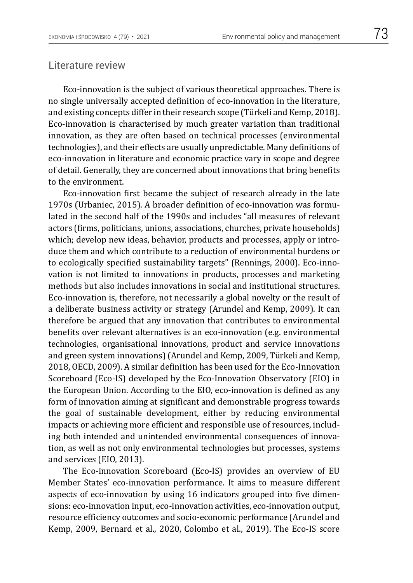### Literature review

Eco-innovation is the subject of various theoretical approaches. There is no single universally accepted definition of eco-innovation in the literature, and existing concepts differ in their research scope (Türkeli and Kemp, 2018). Eco-innovation is characterised by much greater variation than traditional innovation, as they are often based on technical processes (environmental technologies), and their effects are usually unpredictable. Many definitions of eco-innovation in literature and economic practice vary in scope and degree of detail. Generally, they are concerned about innovations that bring benefits to the environment.

Eco-innovation first became the subject of research already in the late 1970s (Urbaniec, 2015). A broader definition of eco-innovation was formulated in the second half of the 1990s and includes "all measures of relevant actors (firms, politicians, unions, associations, churches, private households) which; develop new ideas, behavior, products and processes, apply or introduce them and which contribute to a reduction of environmental burdens or to ecologically specified sustainability targets" (Rennings, 2000). Eco-innovation is not limited to innovations in products, processes and marketing methods but also includes innovations in social and institutional structures. Eco-innovation is, therefore, not necessarily a global novelty or the result of a deliberate business activity or strategy (Arundel and Kemp, 2009). It can therefore be argued that any innovation that contributes to environmental benefits over relevant alternatives is an eco-innovation (e.g. environmental technologies, organisational innovations, product and service innovations and green system innovations) (Arundel and Kemp, 2009, Türkeli and Kemp, 2018, OECD, 2009). A similar definition has been used for the Eco-Innovation Scoreboard (Eco-IS) developed by the Eco-Innovation Observatory (EIO) in the European Union. According to the EIO, eco-innovation is defined as any form of innovation aiming at significant and demonstrable progress towards the goal of sustainable development, either by reducing environmental impacts or achieving more efficient and responsible use of resources, including both intended and unintended environmental consequences of innovation, as well as not only environmental technologies but processes, systems and services (EIO, 2013).

The Eco-innovation Scoreboard (Eco-IS) provides an overview of EU Member States' eco-innovation performance. It aims to measure different aspects of eco-innovation by using 16 indicators grouped into five dimensions: eco-innovation input, eco-innovation activities, eco-innovation output, resource efficiency outcomes and socio-economic performance (Arundel and Kemp, 2009, Bernard et al., 2020, Colombo et al., 2019). The Eco-IS score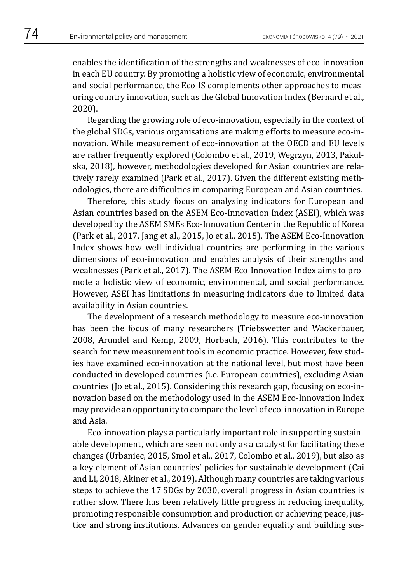enables the identification of the strengths and weaknesses of eco-innovation in each EU country. By promoting a holistic view of economic, environmental and social performance, the Eco-IS complements other approaches to measuring country innovation, such as the Global Innovation Index (Bernard et al., 2020).

Regarding the growing role of eco-innovation, especially in the context of the global SDGs, various organisations are making efforts to measure eco-innovation. While measurement of eco-innovation at the OECD and EU levels are rather frequently explored (Colombo et al., 2019, Wegrzyn, 2013, Pakulska, 2018), however, methodologies developed for Asian countries are relatively rarely examined (Park et al., 2017). Given the different existing methodologies, there are difficulties in comparing European and Asian countries.

Therefore, this study focus on analysing indicators for European and Asian countries based on the ASEM Eco-Innovation Index (ASEI), which was developed by the ASEM SMEs Eco-Innovation Center in the Republic of Korea (Park et al., 2017, Jang et al., 2015, Jo et al., 2015). The ASEM Eco-Innovation Index shows how well individual countries are performing in the various dimensions of eco-innovation and enables analysis of their strengths and weaknesses (Park et al., 2017). The ASEM Eco-Innovation Index aims to promote a holistic view of economic, environmental, and social performance. However, ASEI has limitations in measuring indicators due to limited data availability in Asian countries.

The development of a research methodology to measure eco-innovation has been the focus of many researchers (Triebswetter and Wackerbauer, 2008, Arundel and Kemp, 2009, Horbach, 2016). This contributes to the search for new measurement tools in economic practice. However, few studies have examined eco-innovation at the national level, but most have been conducted in developed countries (i.e. European countries), excluding Asian countries (Jo et al., 2015). Considering this research gap, focusing on eco-innovation based on the methodology used in the ASEM Eco-Innovation Index may provide an opportunity to compare the level of eco-innovation in Europe and Asia.

Eco-innovation plays a particularly important role in supporting sustainable development, which are seen not only as a catalyst for facilitating these changes (Urbaniec, 2015, Smol et al., 2017, Colombo et al., 2019), but also as a key element of Asian countries' policies for sustainable development (Cai and Li, 2018, Akiner et al., 2019). Although many countries are taking various steps to achieve the 17 SDGs by 2030, overall progress in Asian countries is rather slow. There has been relatively little progress in reducing inequality, promoting responsible consumption and production or achieving peace, justice and strong institutions. Advances on gender equality and building sus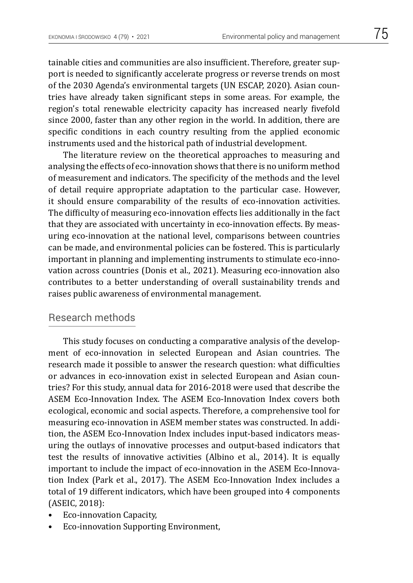tainable cities and communities are also insufficient. Therefore, greater support is needed to significantly accelerate progress or reverse trends on most of the 2030 Agenda's environmental targets (UN ESCAP, 2020). Asian countries have already taken significant steps in some areas. For example, the region's total renewable electricity capacity has increased nearly fivefold since 2000, faster than any other region in the world. In addition, there are specific conditions in each country resulting from the applied economic instruments used and the historical path of industrial development.

The literature review on the theoretical approaches to measuring and analysing the effects of eco-innovation shows that there is no uniform method of measurement and indicators. The specificity of the methods and the level of detail require appropriate adaptation to the particular case. However, it should ensure comparability of the results of eco-innovation activities. The difficulty of measuring eco-innovation effects lies additionally in the fact that they are associated with uncertainty in eco-innovation effects. By measuring eco-innovation at the national level, comparisons between countries can be made, and environmental policies can be fostered. This is particularly important in planning and implementing instruments to stimulate eco-innovation across countries (Donis et al., 2021). Measuring eco-innovation also contributes to a better understanding of overall sustainability trends and raises public awareness of environmental management.

# Research methods

This study focuses on conducting a comparative analysis of the development of eco-innovation in selected European and Asian countries. The research made it possible to answer the research question: what difficulties or advances in eco-innovation exist in selected European and Asian countries? For this study, annual data for 2016-2018 were used that describe the ASEM Eco-Innovation Index. The ASEM Eco-Innovation Index covers both ecological, economic and social aspects. Therefore, a comprehensive tool for measuring eco-innovation in ASEM member states was constructed. In addition, the ASEM Eco-Innovation Index includes input-based indicators measuring the outlays of innovative processes and output-based indicators that test the results of innovative activities (Albino et al., 2014). It is equally important to include the impact of eco-innovation in the ASEM Eco-Innovation Index (Park et al., 2017). The ASEM Eco-Innovation Index includes a total of 19 different indicators, which have been grouped into 4 components (ASEIC, 2018):

- Eco-innovation Capacity,
- Eco-innovation Supporting Environment,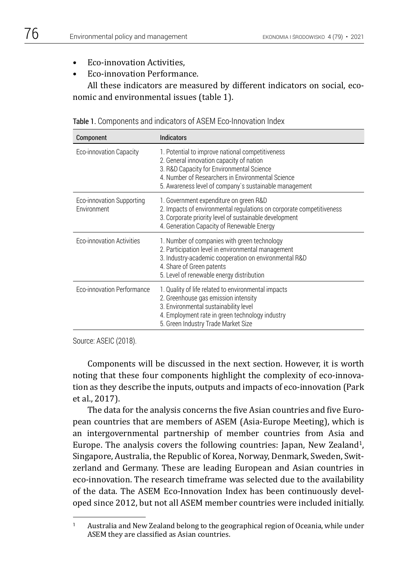- Eco-innovation Activities,
- Eco-innovation Performance.

All these indicators are measured by different indicators on social, economic and environmental issues (table 1).

| Component                                | Indicators                                                                                                                                                                                                                                               |
|------------------------------------------|----------------------------------------------------------------------------------------------------------------------------------------------------------------------------------------------------------------------------------------------------------|
| Eco-innovation Capacity                  | 1. Potential to improve national competitiveness<br>2. General innovation capacity of nation<br>3. R&D Capacity for Environmental Science<br>4. Number of Researchers in Environmental Science<br>5. Awareness level of company's sustainable management |
| Eco-innovation Supporting<br>Environment | 1. Government expenditure on green R&D<br>2. Impacts of environmental regulations on corporate competitiveness<br>3. Corporate priority level of sustainable development<br>4. Generation Capacity of Renewable Energy                                   |
| Eco-innovation Activities                | 1. Number of companies with green technology<br>2. Participation level in environmental management<br>3. Industry-academic cooperation on environmental R&D<br>4. Share of Green patents<br>5. Level of renewable energy distribution                    |
| Eco-innovation Performance               | 1. Quality of life related to environmental impacts<br>2. Greenhouse gas emission intensity<br>3. Environmental sustainability level<br>4. Employment rate in green technology industry<br>5. Green Industry Trade Market Size                           |

Source: ASEIC (2018).

Components will be discussed in the next section. However, it is worth noting that these four components highlight the complexity of eco-innovation as they describe the inputs, outputs and impacts of eco-innovation (Park et al., 2017).

The data for the analysis concerns the five Asian countries and five European countries that are members of ASEM (Asia-Europe Meeting), which is an intergovernmental partnership of member countries from Asia and Europe. The analysis covers the following countries: Japan, New Zealand<sup>1</sup>, Singapore, Australia, the Republic of Korea, Norway, Denmark, Sweden, Switzerland and Germany. These are leading European and Asian countries in eco-innovation. The research timeframe was selected due to the availability of the data. The ASEM Eco-Innovation Index has been continuously developed since 2012, but not all ASEM member countries were included initially.

<sup>1</sup> Australia and New Zealand belong to the geographical region of Oceania, while under ASEM they are classified as Asian countries.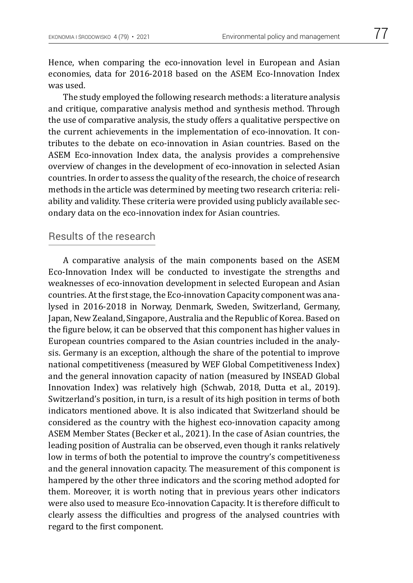Hence, when comparing the eco-innovation level in European and Asian

economies, data for 2016-2018 based on the ASEM Eco-Innovation Index was used. The study employed the following research methods: a literature analysis and critique, comparative analysis method and synthesis method. Through the use of comparative analysis, the study offers a qualitative perspective on the current achievements in the implementation of eco-innovation. It contributes to the debate on eco-innovation in Asian countries. Based on the

ASEM Eco-innovation Index data, the analysis provides a comprehensive overview of changes in the development of eco-innovation in selected Asian countries. In order to assess the quality of the research, the choice of research methods in the article was determined by meeting two research criteria: reliability and validity. These criteria were provided using publicly available secondary data on the eco-innovation index for Asian countries.

## Results of the research

A comparative analysis of the main components based on the ASEM Eco-Innovation Index will be conducted to investigate the strengths and weaknesses of eco-innovation development in selected European and Asian countries. At the first stage, the Eco-innovation Capacity component was analysed in 2016-2018 in Norway, Denmark, Sweden, Switzerland, Germany, Japan, New Zealand, Singapore, Australia and the Republic of Korea. Based on the figure below, it can be observed that this component has higher values in European countries compared to the Asian countries included in the analysis. Germany is an exception, although the share of the potential to improve national competitiveness (measured by WEF Global Competitiveness Index) and the general innovation capacity of nation (measured by INSEAD Global Innovation Index) was relatively high (Schwab, 2018, Dutta et al., 2019). Switzerland's position, in turn, is a result of its high position in terms of both indicators mentioned above. It is also indicated that Switzerland should be considered as the country with the highest eco-innovation capacity among ASEM Member States (Becker et al., 2021). In the case of Asian countries, the leading position of Australia can be observed, even though it ranks relatively low in terms of both the potential to improve the country's competitiveness and the general innovation capacity. The measurement of this component is hampered by the other three indicators and the scoring method adopted for them. Moreover, it is worth noting that in previous years other indicators were also used to measure Eco-innovation Capacity. It is therefore difficult to clearly assess the difficulties and progress of the analysed countries with regard to the first component.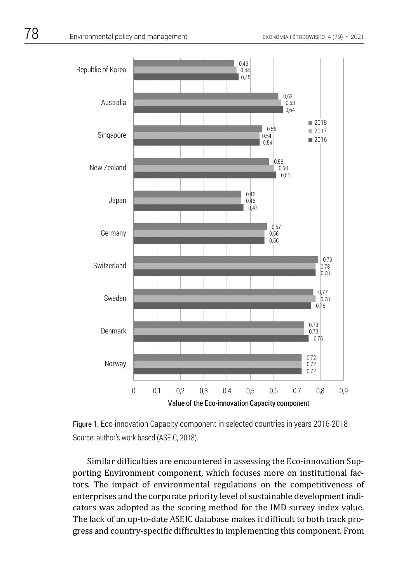

Figure 1. Eco-innovation Capacity component in selected countries in years 2016-2018 Source: author's work based (ASEIC, 2018).

 porting Environment component, which focuses more on institutional fac-Similar difficulties are encountered in assessing the Eco-innovation Suptors. The impact of environmental regulations on the competitiveness of enterprises and the corporate priority level of sustainable development indicators was adopted as the scoring method for the IMD survey index value. The lack of an up-to-date ASEIC database makes it difficult to both track progress and country-specific difficulties in implementing this component. From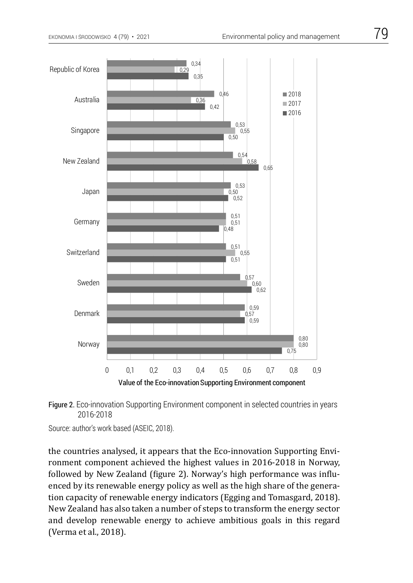



Source: author's work based (ASEIC, 2018).

the countries analysed, it appears that the Eco-innovation Supporting Environment component achieved the highest values in 2016-2018 in Norway, followed by New Zealand (figure 2). Norway's high performance was influenced by its renewable energy policy as well as the high share of the generation capacity of renewable energy indicators (Egging and Tomasgard, 2018). New Zealand has also taken a number of steps to transform the energy sector and develop renewable energy to achieve ambitious goals in this regard (Verma et al., 2018).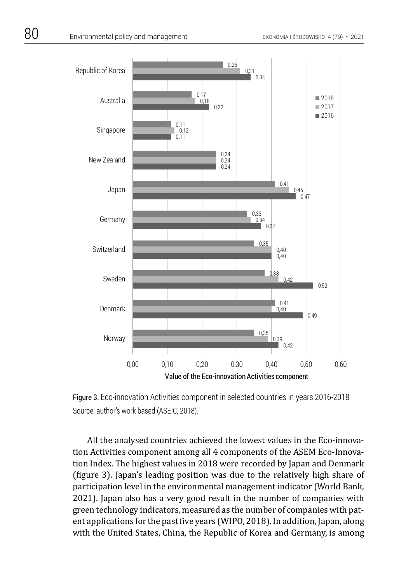

Figure 3. Eco-innovation Activities component in selected countries in years 2016-2018 Source: author's work based (ASEIC, 2018).

tion Activities component among all 4 components of the ASEM Eco-Innova-All the analysed countries achieved the lowest values in the Eco-innovation Index. The highest values in 2018 were recorded by Japan and Denmark (figure 3). Japan's leading position was due to the relatively high share of participation level in the environmental management indicator (World Bank, 2021). Japan also has a very good result in the number of companies with green technology indicators, measured as the number of companies with patent applications for the past five years (WIPO, 2018). In addition, Japan, along with the United States, China, the Republic of Korea and Germany, is among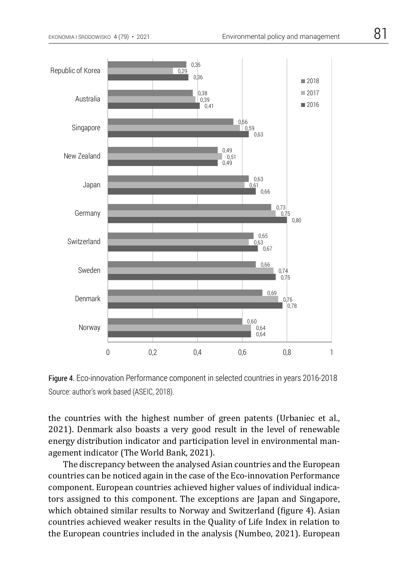



the countries with the highest number of green patents (Urbaniec et al., 2021). Denmark also boasts a very good result in the level of renewable energy distribution indicator and participation level in environmental management indicator (The World Bank, 2021).

The discrepancy between the analysed Asian countries and the European countries can be noticed again in the case of the Eco-innovation Performance component. European countries achieved higher values of individual indicators assigned to this component. The exceptions are Japan and Singapore, which obtained similar results to Norway and Switzerland (figure 4). Asian countries achieved weaker results in the Quality of Life Index in relation to the European countries included in the analysis (Numbeo, 2021). European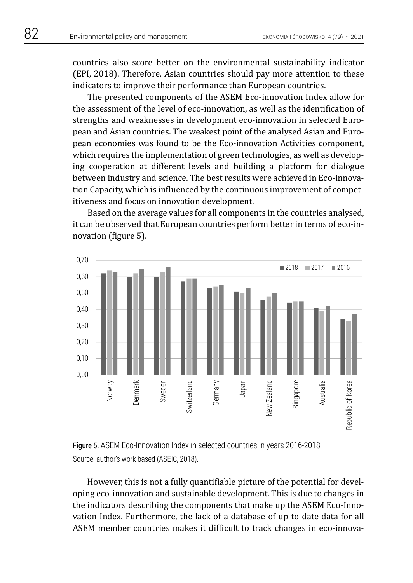countries also score better on the environmental sustainability indicator (EPI, 2018). Therefore, Asian countries should pay more attention to these indicators to improve their performance than European countries.

The presented components of the ASEM Eco-innovation Index allow for the assessment of the level of eco-innovation, as well as the identification of strengths and weaknesses in development eco-innovation in selected European and Asian countries. The weakest point of the analysed Asian and European economies was found to be the Eco-innovation Activities component, which requires the implementation of green technologies, as well as developing cooperation at different levels and building a platform for dialogue between industry and science. The best results were achieved in Eco-innovation Capacity, which is influenced by the continuous improvement of competitiveness and focus on innovation development.

Based on the average values for all components in the countries analysed, it can be observed that European countries perform better in terms of eco-innovation (figure 5).





However, this is not a fully quantifiable picture of the potential for developing eco-innovation and sustainable development. This is due to changes in the indicators describing the components that make up the ASEM Eco-Innovation Index. Furthermore, the lack of a database of up-to-date data for all ASEM member countries makes it difficult to track changes in eco-innova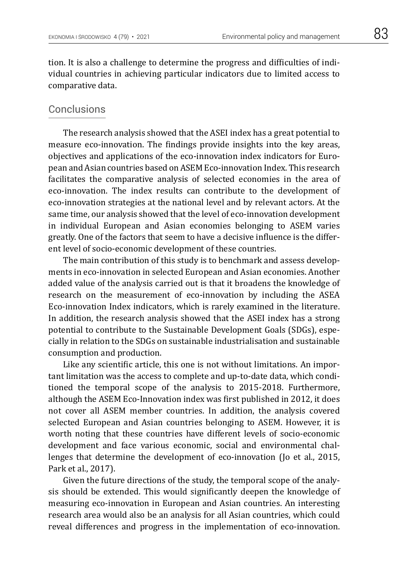tion. It is also a challenge to determine the progress and difficulties of individual countries in achieving particular indicators due to limited access to comparative data.

## **Conclusions**

The research analysis showed that the ASEI index has a great potential to measure eco-innovation. The findings provide insights into the key areas, objectives and applications of the eco-innovation index indicators for European and Asian countries based on ASEM Eco-innovation Index. This research facilitates the comparative analysis of selected economies in the area of eco-innovation. The index results can contribute to the development of eco-innovation strategies at the national level and by relevant actors. At the same time, our analysis showed that the level of eco-innovation development in individual European and Asian economies belonging to ASEM varies greatly. One of the factors that seem to have a decisive influence is the different level of socio-economic development of these countries.

The main contribution of this study is to benchmark and assess developments in eco-innovation in selected European and Asian economies. Another added value of the analysis carried out is that it broadens the knowledge of research on the measurement of eco-innovation by including the ASEA Eco-innovation Index indicators, which is rarely examined in the literature. In addition, the research analysis showed that the ASEI index has a strong potential to contribute to the Sustainable Development Goals (SDGs), especially in relation to the SDGs on sustainable industrialisation and sustainable consumption and production.

Like any scientific article, this one is not without limitations. An important limitation was the access to complete and up-to-date data, which conditioned the temporal scope of the analysis to 2015-2018. Furthermore, although the ASEM Eco-Innovation index was first published in 2012, it does not cover all ASEM member countries. In addition, the analysis covered selected European and Asian countries belonging to ASEM. However, it is worth noting that these countries have different levels of socio-economic development and face various economic, social and environmental challenges that determine the development of eco-innovation (Jo et al., 2015, Park et al., 2017).

Given the future directions of the study, the temporal scope of the analysis should be extended. This would significantly deepen the knowledge of measuring eco-innovation in European and Asian countries. An interesting research area would also be an analysis for all Asian countries, which could reveal differences and progress in the implementation of eco-innovation.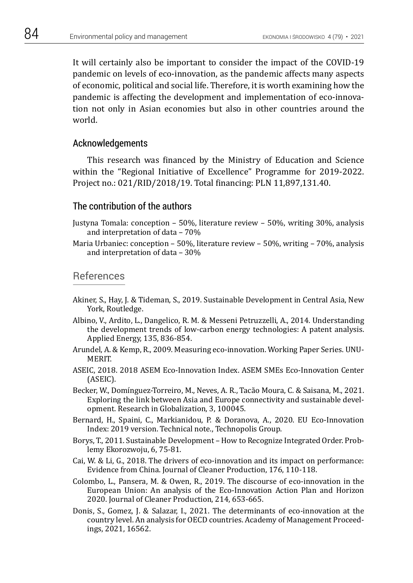It will certainly also be important to consider the impact of the COVID-19 pandemic on levels of eco-innovation, as the pandemic affects many aspects of economic, political and social life. Therefore, it is worth examining how the pandemic is affecting the development and implementation of eco-innovation not only in Asian economies but also in other countries around the world.

#### Acknowledgements

This research was financed by the Ministry of Education and Science within the "Regional Initiative of Excellence" Programme for 2019-2022. Project no.: 021/RID/2018/19. Total financing: PLN 11,897,131.40.

#### The contribution of the authors

- Justyna Tomala: conception 50%, literature review 50%, writing 30%, analysis and interpretation of data – 70%
- Maria Urbaniec: conception 50%, literature review 50%, writing 70%, analysis and interpretation of data – 30%

### References

- Akiner, S., Hay, J. & Tideman, S., 2019. Sustainable Development in Central Asia, New York, Routledge.
- Albino, V., Ardito, L., Dangelico, R. M. & Messeni Petruzzelli, A., 2014. Understanding the development trends of low-carbon energy technologies: A patent analysis. Applied Energy, 135, 836-854.
- Arundel, A. & Kemp, R., 2009. Measuring eco-innovation. Working Paper Series. UNU-MERIT.
- ASEIC, 2018. 2018 ASEM Eco-Innovation Index. ASEM SMEs Eco-Innovation Center (ASEIC).
- Becker, W., Domínguez-Torreiro, M., Neves, A. R., Tacão Moura, C. & Saisana, M., 2021. Exploring the link between Asia and Europe connectivity and sustainable development. Research in Globalization, 3, 100045.
- Bernard, H., Spaini, C., Markianidou, P. & Doranova, A., 2020. EU Eco-Innovation Index: 2019 version. Technical note., Technopolis Group.
- Borys, T., 2011. Sustainable Development How to Recognize Integrated Order. Problemy Ekorozwoju, 6, 75-81.
- Cai, W. & Li, G., 2018. The drivers of eco-innovation and its impact on performance: Evidence from China. Journal of Cleaner Production, 176, 110-118.
- Colombo, L., Pansera, M. & Owen, R., 2019. The discourse of eco-innovation in the European Union: An analysis of the Eco-Innovation Action Plan and Horizon 2020. Journal of Cleaner Production, 214, 653-665.
- Donis, S., Gomez, J. & Salazar, I., 2021. The determinants of eco-innovation at the country level. An analysis for OECD countries. Academy of Management Proceedings, 2021, 16562.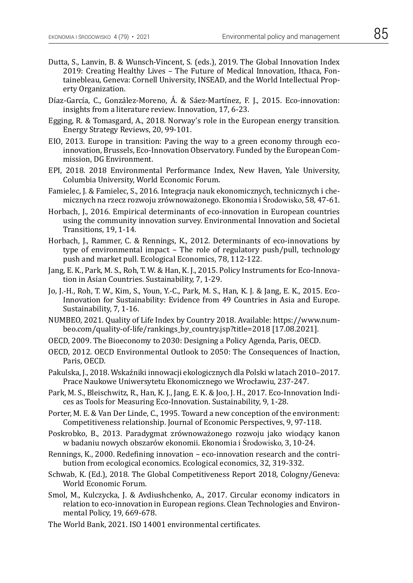- Dutta, S., Lanvin, B. & Wunsch-Vincent, S. (eds.), 2019. The Global Innovation Index 2019: Creating Healthy Lives – The Future of Medical Innovation, Ithaca, Fontainebleau, Geneva: Cornell University, INSEAD, and the World Intellectual Property Organization.
- Díaz-García, C., González-Moreno, Á. & Sáez-Martínez, F. J., 2015. Eco-innovation: insights from a literature review. Innovation, 17, 6-23.
- Egging, R. & Tomasgard, A., 2018. Norway's role in the European energy transition. Energy Strategy Reviews, 20, 99-101.
- EIO, 2013. Europe in transition: Paving the way to a green economy through ecoinnovation, Brussels, Eco-Innovation Observatory. Funded by the European Commission, DG Environment.
- EPI, 2018. 2018 Environmental Performance Index, New Haven, Yale University, Columbia University, World Economic Forum.
- Famielec, J. & Famielec, S., 2016. Integracja nauk ekonomicznych, technicznych i chemicznych na rzecz rozwoju zrównoważonego. Ekonomia i Środowisko, 58, 47-61.
- Horbach, J., 2016. Empirical determinants of eco-innovation in European countries using the community innovation survey. Environmental Innovation and Societal Transitions, 19, 1-14.
- Horbach, J., Rammer, C. & Rennings, K., 2012. Determinants of eco-innovations by type of environmental impact – The role of regulatory push/pull, technology push and market pull. Ecological Economics, 78, 112-122.
- Jang, E. K., Park, M. S., Roh, T. W. & Han, K. J., 2015. Policy Instruments for Eco-Innovation in Asian Countries. Sustainability, 7, 1-29.
- Jo, J.-H., Roh, T. W., Kim, S., Youn, Y.-C., Park, M. S., Han, K. J. & Jang, E. K., 2015. Eco-Innovation for Sustainability: Evidence from 49 Countries in Asia and Europe. Sustainability, 7, 1-16.
- NUMBEO, 2021. Quality of Life Index by Country 2018. Available: https://www.numbeo.com/quality-of-life/rankings\_by\_country.jsp?title=2018 [17.08.2021].
- OECD, 2009. The Bioeconomy to 2030: Designing a Policy Agenda, Paris, OECD.
- OECD, 2012. OECD Environmental Outlook to 2050: The Consequences of Inaction, Paris, OECD.
- Pakulska, J., 2018. Wskaźniki innowacji ekologicznych dla Polski w latach 2010–2017. Prace Naukowe Uniwersytetu Ekonomicznego we Wrocławiu, 237-247.
- Park, M. S., Bleischwitz, R., Han, K. J., Jang, E. K. & Joo, J. H., 2017. Eco-Innovation Indices as Tools for Measuring Eco-Innovation. Sustainability, 9, 1-28.
- Porter, M. E. & Van Der Linde, C., 1995. Toward a new conception of the environment: Competitiveness relationship. Journal of Economic Perspectives, 9, 97-118.
- Poskrobko, B., 2013. Paradygmat zrównoważonego rozwoju jako wiodący kanon w badaniu nowych obszarów ekonomii. Ekonomia i Środowisko, 3, 10-24.
- Rennings, K., 2000. Redefining innovation eco-innovation research and the contribution from ecological economics. Ecological economics, 32, 319-332.
- Schwab, K. (Ed.), 2018. The Global Competitiveness Report 2018, Cologny/Geneva: World Economic Forum.
- Smol, M., Kulczycka, J. & Avdiushchenko, A., 2017. Circular economy indicators in relation to eco-innovation in European regions. Clean Technologies and Environmental Policy, 19, 669-678.
- The World Bank, 2021. ISO 14001 environmental certificates.